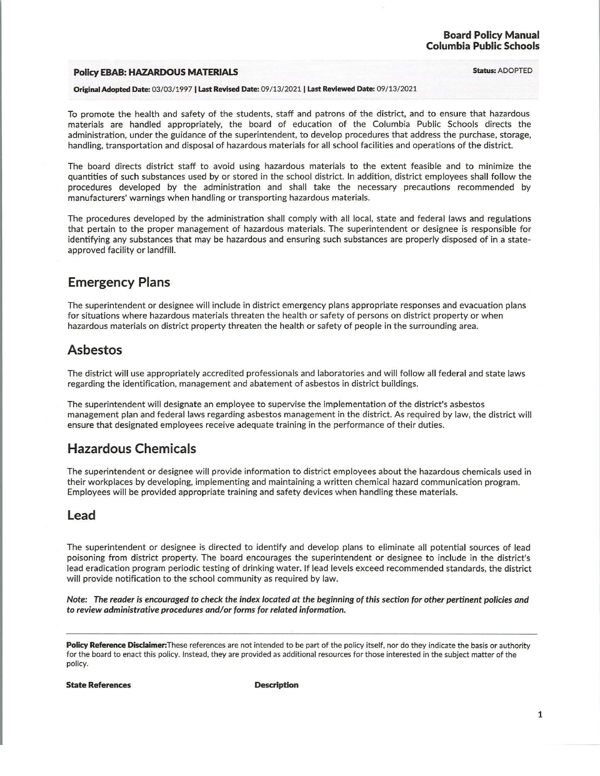### **Policy EBAB: HAZARDOUS MATERIALS** Status: ADOPTED

#### Original Adopted Date: 03/03/ 1997 I Last Revised Date: 09/ 13/ 2021 I Last Reviewed Date: 09/ 13/ 2021

To promote the health and safety of the students, staff and patrons of the district, and to ensure that hazardous materials are handled appropriately, the board of education of the Columbia Public Schools directs the administration, under the guidance of the superintendent, to develop procedures that address the purchase, storage, handling, transportation and disposal of hazardous materials for all school facilities and operations of the district.

The board directs district staff to avoid using hazardous materials to the extent feasible and to minimize the quantities of such substances used by or stored in the school district. In addition, district employees shall follow the procedures developed by the administration and shall take the necessary precautions recommended by manufacturers' warnings when handling or transporting hazardous materials.

The procedures developed by the administration shall comply with all local, state and federal laws and regulations that pertain to the proper management of hazardous materials. The superintendent or designee is responsible for identifying any substances that may be hazardous and ensuring such substances are properly disposed of in a stateapproved facility or landfill.

# Emergency Plans

The superintendent or designee will include in district emergency plans appropriate responses and evacuation plans for situations where hazardous materials threaten the health or safety of persons on district property or when hazardous materials on district property threaten the health or safety of people in the surrounding area.

# Asbestos

The district will use appropriately accredited professionals and laboratories and will follow all federal and state laws regarding the identification, management and abatement of asbestos in district buildings.

The superintendent will designate an employee to supervise the implementation of the district's asbestos management plan and federal laws regarding asbestos management in the district. As required by law, the district will ensure that designated employees receive adequate training in the performance of their duties.

# Hazardous Chemicals

The superintendent or designee will provide information to district employees about the hazardous chemicals used in their workplaces by developing, implementing and maintaining a written chemical hazard communication program. Employees will be provided appropriate training and safety devices when handling these materials.

### Lead

The superintendent or designee is directed to identify and develop plans to eliminate all potential sources of lead poisoning from district property. The board encourages the superintendent or designee to include in the district's lead eradication program periodic testing of drinking water. If lead levels exceed recommended standards, the district will provide notification to the school community as required by law.

Note: The reader is encouraged to check the index located at the beginning of this section for other pertinent policies and to review administrative procedures and/or forms for related information.

Policy Reference Disclaimer: These references are not intended to be part of the policy itself, nor do they indicate the basis or authority tor the board to enact this policy. Instead, they are provided as additional resources tor those interested in the subject matter of the policy.

State References and the Description